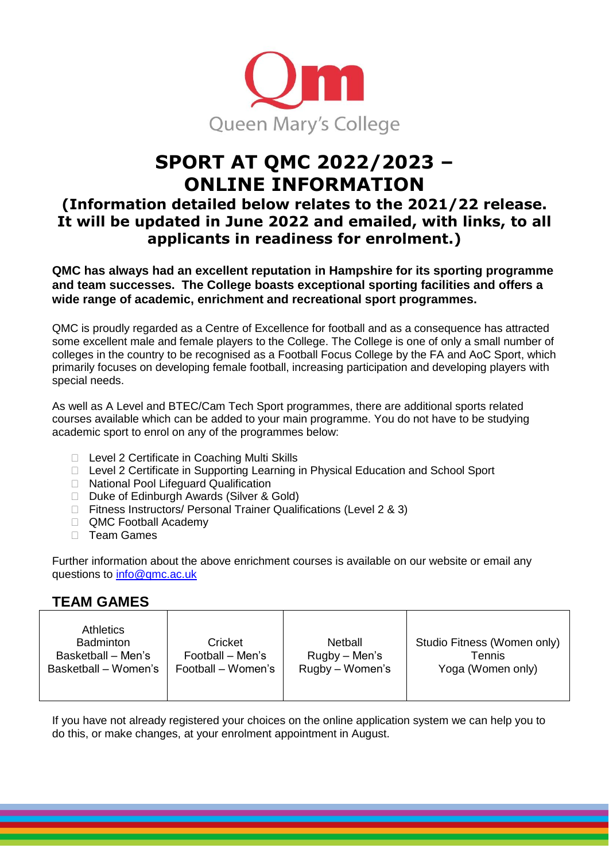

# **SPORT AT QMC 2022/2023 – ONLINE INFORMATION**

# **(Information detailed below relates to the 2021/22 release. It will be updated in June 2022 and emailed, with links, to all applicants in readiness for enrolment.)**

**QMC has always had an excellent reputation in Hampshire for its sporting programme and team successes. The College boasts exceptional sporting facilities and offers a wide range of academic, enrichment and recreational sport programmes.** 

QMC is proudly regarded as a Centre of Excellence for football and as a consequence has attracted some excellent male and female players to the College. The College is one of only a small number of colleges in the country to be recognised as a Football Focus College by the FA and AoC Sport, which primarily focuses on developing female football, increasing participation and developing players with special needs.

As well as A Level and BTEC/Cam Tech Sport programmes, there are additional sports related courses available which can be added to your main programme. You do not have to be studying academic sport to enrol on any of the programmes below:

- □ Level 2 Certificate in Coaching Multi Skills
- □ Level 2 Certificate in Supporting Learning in Physical Education and School Sport
- □ National Pool Lifeguard Qualification
- □ Duke of Edinburgh Awards (Silver & Gold)
- ⮚ Fitness Instructors/ Personal Trainer Qualifications (Level 2 & 3)
- □ QMC Football Academy
- □ Team Games

Further information about the above enrichment courses is available on our website or email any questions to info@qmc.ac.uk

### **TEAM GAMES**

| <b>Athletics</b><br><b>Badminton</b><br>Basketball – Men's<br>Basketball – Women's | Cricket<br>Football – Men's<br>Football – Women's | Netball<br>Rugby – Men's<br>Rugby - Women's | Studio Fitness (Women only)<br>Tennis<br>Yoga (Women only) |
|------------------------------------------------------------------------------------|---------------------------------------------------|---------------------------------------------|------------------------------------------------------------|
|------------------------------------------------------------------------------------|---------------------------------------------------|---------------------------------------------|------------------------------------------------------------|

If you have not already registered your choices on the online application system we can help you to do this, or make changes, at your enrolment appointment in August.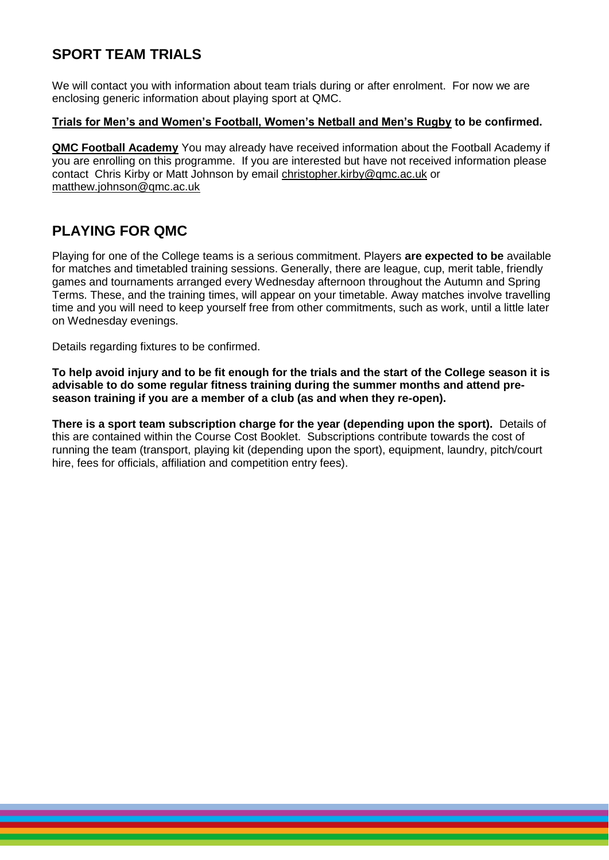### **SPORT TEAM TRIALS**

We will contact you with information about team trials during or after enrolment. For now we are enclosing generic information about playing sport at QMC.

#### **Trials for Men's and Women's Football, Women's Netball and Men's Rugby to be confirmed.**

**QMC Football Academy** You may already have received information about the Football Academy if you are enrolling on this programme. If you are interested but have not received information please contact Chris Kirby or Matt Johnson by email [christopher.kirby@qmc.ac.uk](mailto:christopher.kirby@qmc.ac.uk) or [matthew.johnson@qmc.ac.uk](mailto:matthew.johnson@qmc.ac.uk)

# **PLAYING FOR QMC**

Playing for one of the College teams is a serious commitment. Players **are expected to be** available for matches and timetabled training sessions. Generally, there are league, cup, merit table, friendly games and tournaments arranged every Wednesday afternoon throughout the Autumn and Spring Terms. These, and the training times, will appear on your timetable. Away matches involve travelling time and you will need to keep yourself free from other commitments, such as work, until a little later on Wednesday evenings.

Details regarding fixtures to be confirmed.

**To help avoid injury and to be fit enough for the trials and the start of the College season it is advisable to do some regular fitness training during the summer months and attend preseason training if you are a member of a club (as and when they re-open).**

**There is a sport team subscription charge for the year (depending upon the sport).** Details of this are contained within the Course Cost Booklet. Subscriptions contribute towards the cost of running the team (transport, playing kit (depending upon the sport), equipment, laundry, pitch/court hire, fees for officials, affiliation and competition entry fees).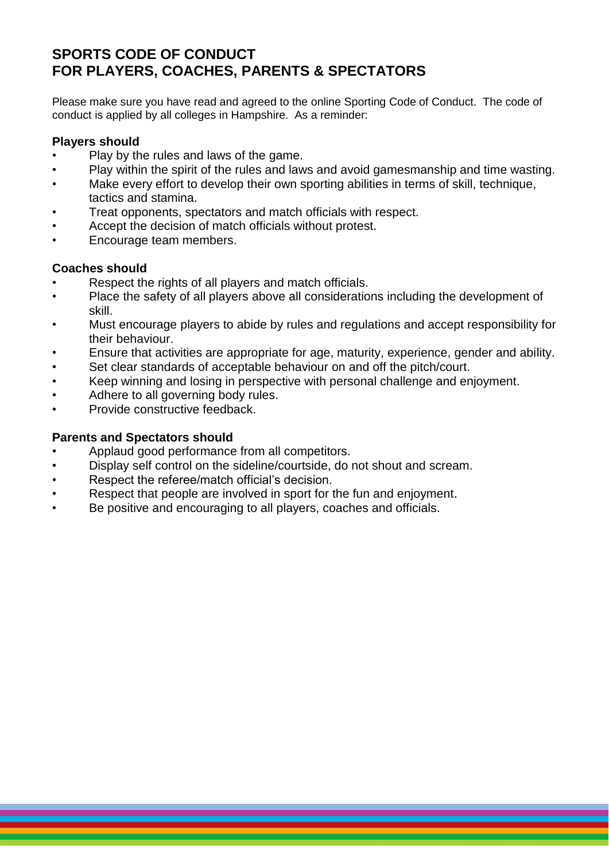# **SPORTS CODE OF CONDUCT FOR PLAYERS, COACHES, PARENTS & SPECTATORS**

Please make sure you have read and agreed to the online Sporting Code of Conduct. The code of conduct is applied by all colleges in Hampshire. As a reminder:

### **Players should**

- Play by the rules and laws of the game.
- Play within the spirit of the rules and laws and avoid gamesmanship and time wasting.
- Make every effort to develop their own sporting abilities in terms of skill, technique, tactics and stamina.
- Treat opponents, spectators and match officials with respect.
- Accept the decision of match officials without protest.
- Encourage team members.

#### **Coaches should**

- Respect the rights of all players and match officials.
- Place the safety of all players above all considerations including the development of skill.
- Must encourage players to abide by rules and regulations and accept responsibility for their behaviour.
- Ensure that activities are appropriate for age, maturity, experience, gender and ability.
- Set clear standards of acceptable behaviour on and off the pitch/court.
- Keep winning and losing in perspective with personal challenge and enjoyment.
- Adhere to all governing body rules.
- Provide constructive feedback.

#### **Parents and Spectators should**

- Applaud good performance from all competitors.
- Display self control on the sideline/courtside, do not shout and scream.
- Respect the referee/match official's decision.
- Respect that people are involved in sport for the fun and enjoyment.
- Be positive and encouraging to all players, coaches and officials.